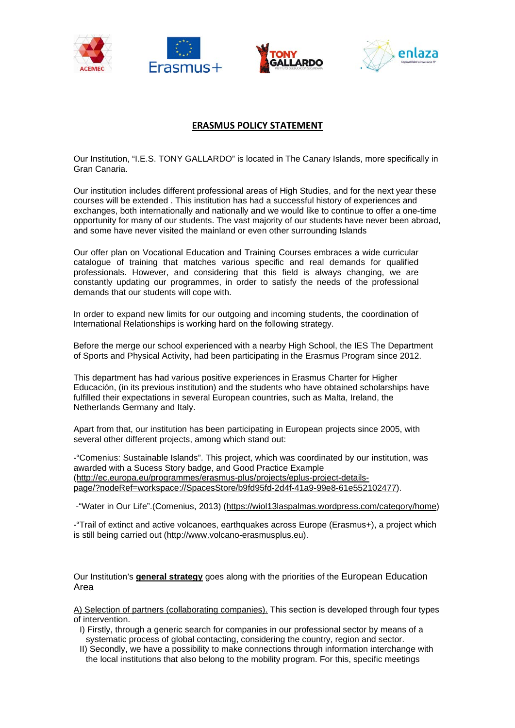



## **ERASMUS POLICY STATEMENT**

Our Institution, "I.E.S. TONY GALLARDO" is located in The Canary Islands, more specifically in Gran Canaria.

Our institution includes different professional areas of High Studies, and for the next year these courses will be extended . This institution has had a successful history of experiences and exchanges, both internationally and nationally and we would like to continue to offer a one-time opportunity for many of our students. The vast majority of our students have never been abroad, and some have never visited the mainland or even other surrounding Islands

Our offer plan on Vocational Education and Training Courses embraces a wide curricular catalogue of training that matches various specific and real demands for qualified professionals. However, and considering that this field is always changing, we are constantly updating our programmes, in order to satisfy the needs of the professional demands that our students will cope with.

In order to expand new limits for our outgoing and incoming students, the coordination of International Relationships is working hard on the following strategy.

Before the merge our school experienced with a nearby High School, the IES The Department of Sports and Physical Activity, had been participating in the Erasmus Program since 2012.

This department has had various positive experiences in Erasmus Charter for Higher Educación, (in its previous institution) and the students who have obtained scholarships have fulfilled their expectations in several European countries, such as Malta, Ireland, the Netherlands Germany and Italy.

Apart from that, our institution has been participating in European projects since 2005, with several other different projects, among which stand out:

-"Comenius: Sustainable Islands". This project, which was coordinated by our institution, was awarded with a Sucess Story badge, and Good Practice Example [\(http://ec.europa.eu/programmes/erasmus-plus/projects/eplus-project-details](http://ec.europa.eu/programmes/erasmus-plus/projects/eplus-project-details-page/?nodeRef=workspace://SpacesStore/b9fd95fd-2d4f-41a9-99e8-61e552102477)[page/?nodeRef=workspace://SpacesStore/b9fd95fd-2d4f-41a9-99e8-61e552102477\)](http://ec.europa.eu/programmes/erasmus-plus/projects/eplus-project-details-page/?nodeRef=workspace://SpacesStore/b9fd95fd-2d4f-41a9-99e8-61e552102477).

-"Water in Our Life".(Comenius, 2013) [\(https://wiol13laspalmas.wordpress.com/category/home\)](https://wiol13laspalmas.wordpress.com/category/home/)

-"Trail of extinct and active volcanoes, earthquakes across Europe (Erasmus+), a project which is still being carried out [\(http://www.volcano-erasmusplus.eu\)](http://www.volcano-erasmusplus.eu/).

Our Institution's **general strategy** goes along with the priorities of the European Education Area

A) Selection of partners (collaborating companies). This section is developed through four types of intervention.

- I) Firstly, through a generic search for companies in our professional sector by means of a systematic process of global contacting, considering the country, region and sector.
- II) Secondly, we have a possibility to make connections through information interchange with the local institutions that also belong to the mobility program. For this, specific meetings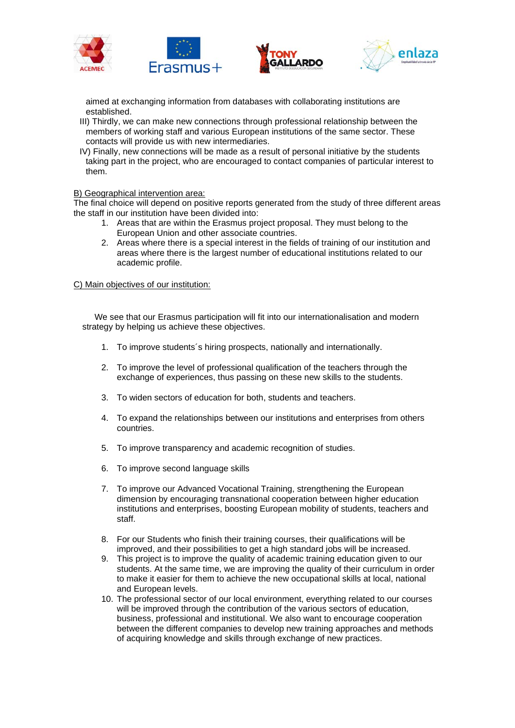

aimed at exchanging information from databases with collaborating institutions are established.

- III) Thirdly, we can make new connections through professional relationship between the members of working staff and various European institutions of the same sector. These contacts will provide us with new intermediaries.
- IV) Finally, new connections will be made as a result of personal initiative by the students taking part in the project, who are encouraged to contact companies of particular interest to them.

B) Geographical intervention area:

The final choice will depend on positive reports generated from the study of three different areas the staff in our institution have been divided into:

- 1. Areas that are within the Erasmus project proposal. They must belong to the European Union and other associate countries.
- 2. Areas where there is a special interest in the fields of training of our institution and areas where there is the largest number of educational institutions related to our academic profile.

C) Main objectives of our institution:

We see that our Erasmus participation will fit into our internationalisation and modern strategy by helping us achieve these objectives.

- 1. To improve students´s hiring prospects, nationally and internationally.
- 2. To improve the level of professional qualification of the teachers through the exchange of experiences, thus passing on these new skills to the students.
- 3. To widen sectors of education for both, students and teachers.
- 4. To expand the relationships between our institutions and enterprises from others countries.
- 5. To improve transparency and academic recognition of studies.
- 6. To improve second language skills
- 7. To improve our Advanced Vocational Training, strengthening the European dimension by encouraging transnational cooperation between higher education institutions and enterprises, boosting European mobility of students, teachers and staff.
- 8. For our Students who finish their training courses, their qualifications will be improved, and their possibilities to get a high standard jobs will be increased.
- 9. This project is to improve the quality of academic training education given to our students. At the same time, we are improving the quality of their curriculum in order to make it easier for them to achieve the new occupational skills at local, national and European levels.
- 10. The professional sector of our local environment, everything related to our courses will be improved through the contribution of the various sectors of education, business, professional and institutional. We also want to encourage cooperation between the different companies to develop new training approaches and methods of acquiring knowledge and skills through exchange of new practices.